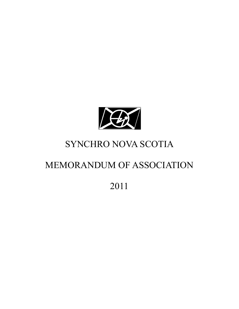

# SYNCHRO NOVA SCOTIA

# MEMORANDUM OF ASSOCIATION

# 2011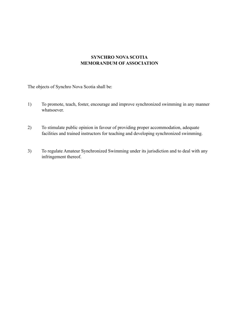## **SYNCHRO NOVA SCOTIA MEMORANDUM OF ASSOCIATION**

The objects of Synchro Nova Scotia shall be:

- 1) To promote, teach, foster, encourage and improve synchronized swimming in any manner whatsoever.
- 2) To stimulate public opinion in favour of providing proper accommodation, adequate facilities and trained instructors for teaching and developing synchronized swimming.
- 3) To regulate Amateur Synchronized Swimming under its jurisdiction and to deal with any infringement thereof.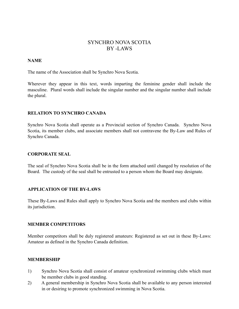# SYNCHRO NOVA SCOTIA BY -LAWS

#### **NAME**

The name of the Association shall be Synchro Nova Scotia.

Wherever they appear in this text, words imparting the feminine gender shall include the masculine. Plural words shall include the singular number and the singular number shall include the plural.

#### **RELATION TO SYNCHRO CANADA**

Synchro Nova Scotia shall operate as a Provincial section of Synchro Canada. Synchro Nova Scotia, its member clubs, and associate members shall not contravene the By-Law and Rules of Synchro Canada.

#### **CORPORATE SEAL**

The seal of Synchro Nova Scotia shall be in the form attached until changed by resolution of the Board. The custody of the seal shall be entrusted to a person whom the Board may designate.

#### **APPLICATION OF THE BY-LAWS**

These By-Laws and Rules shall apply to Synchro Nova Scotia and the members and clubs within its jurisdiction.

#### **MEMBER COMPETITORS**

Member competitors shall be duly registered amateurs: Registered as set out in these By-Laws: Amateur as defined in the Synchro Canada definition.

#### **MEMBERSHIP**

- 1) Synchro Nova Scotia shall consist of amateur synchronized swimming clubs which must be member clubs in good standing.
- 2) A general membership in Synchro Nova Scotia shall be available to any person interested in or desiring to promote synchronized swimming in Nova Scotia.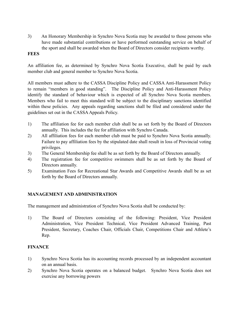3) An Honorary Membership in Synchro Nova Scotia may be awarded to those persons who have made substantial contributions or have performed outstanding service on behalf of the sport and shall be awarded when the Board of Directors consider recipients worthy.

## **FEES**

An affiliation fee, as determined by Synchro Nova Scotia Executive, shall be paid by each member club and general member to Synchro Nova Scotia.

All members must adhere to the CASSA Discipline Policy and CASSA Anti-Harassment Policy to remain "members in good standing". The Discipline Policy and Anti-Harassment Policy identify the standard of behaviour which is expected of all Synchro Nova Scotia members. Members who fail to meet this standard will be subject to the disciplinary sanctions identified within these policies. Any appeals regarding sanctions shall be filed and considered under the guidelines set out in the CASSA Appeals Policy.

- 1) The affiliation fee for each member club shall be as set forth by the Board of Directors annually. This includes the fee for affiliation with Synchro Canada.
- 2) All affiliation fees for each member club must be paid to Synchro Nova Scotia annually. Failure to pay affiliation fees by the stipulated date shall result in loss of Provincial voting privileges.
- 3) The General Membership fee shall be as set forth by the Board of Directors annually.
- 4) The registration fee for competitive swimmers shall be as set forth by the Board of Directors annually.
- 5) Examination Fees for Recreational Star Awards and Competitive Awards shall be as set forth by the Board of Directors annually.

## **MANAGEMENT AND ADMINISTRATION**

The management and administration of Synchro Nova Scotia shall be conducted by:

1) The Board of Directors consisting of the following: President, Vice President Administration, Vice President Technical, Vice President Advanced Training, Past President, Secretary, Coaches Chair, Officials Chair, Competitions Chair and Athlete's Rep.

# **FINANCE**

- 1) Synchro Nova Scotia has its accounting records processed by an independent accountant on an annual basis.
- 2) Synchro Nova Scotia operates on a balanced budget. Synchro Nova Scotia does not exercise any borrowing powers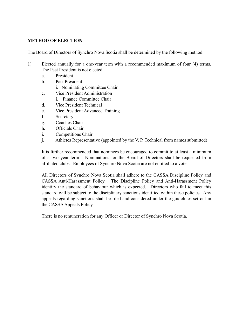## **METHOD OF ELECTION**

The Board of Directors of Synchro Nova Scotia shall be determined by the following method:

- 1) Elected annually for a one-year term with a recommended maximum of four (4) terms. The Past President is not elected.
	- a. President
	- b. Past President
		- i. Nominating Committee Chair
	- c. Vice President Administration
		- i. Finance Committee Chair
	- d. Vice President Technical
	- e. Vice President Advanced Training
	- f. Secretary
	- g. Coaches Chair
	- h. Officials Chair
	- i. Competitions Chair
	- j. Athletes Representative (appointed by the V. P. Technical from names submitted)

It is further recommended that nominees be encouraged to commit to at least a minimum of a two year term. Nominations for the Board of Directors shall be requested from affiliated clubs. Employees of Synchro Nova Scotia are not entitled to a vote.

All Directors of Synchro Nova Scotia shall adhere to the CASSA Discipline Policy and CASSA Anti-Harassment Policy. The Discipline Policy and Anti-Harassment Policy identify the standard of behaviour which is expected. Directors who fail to meet this standard will be subject to the disciplinary sanctions identified within these policies. Any appeals regarding sanctions shall be filed and considered under the guidelines set out in the CASSA Appeals Policy.

There is no remuneration for any Officer or Director of Synchro Nova Scotia.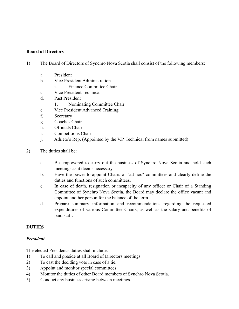#### **Board of Directors**

- 1) The Board of Directors of Synchro Nova Scotia shall consist of the following members:
	- a. President
	- b. Vice President Administration
		- i. Finance Committee Chair
	- c. Vice President Technical
	- d. Past President
		- 1. Nominating Committee Chair
	- e. Vice President Advanced Training
	- f. Secretary
	- g. Coaches Chair
	- h. Officials Chair
	- i. Competitions Chair
	- j. Athlete's Rep. (Appointed by the V.P. Technical from names submitted)
- 2) The duties shall be:
	- a. Be empowered to carry out the business of Synchro Nova Scotia and hold such meetings as it deems necessary.
	- b. Have the power to appoint Chairs of "ad hoc" committees and clearly define the duties and functions of such committees.
	- c. In case of death, resignation or incapacity of any officer or Chair of a Standing Committee of Synchro Nova Scotia, the Board may declare the office vacant and appoint another person for the balance of the term.
	- d. Prepare summary information and recommendations regarding the requested expenditures of various Committee Chairs, as well as the salary and benefits of paid staff.

#### **DUTIES**

#### *President*

The elected President's duties shall include:

- 1) To call and preside at all Board of Directors meetings.
- 2) To cast the deciding vote in case of a tie.
- 3) Appoint and monitor special committees.
- 4) Monitor the duties of other Board members of Synchro Nova Scotia.
- 5) Conduct any business arising between meetings.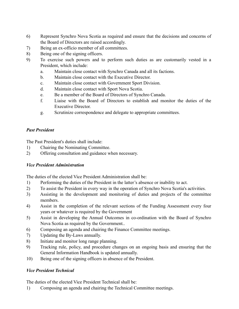- 6) Represent Synchro Nova Scotia as required and ensure that the decisions and concerns of the Board of Directors are raised accordingly.
- 7) Being an ex-officio member of all committees.
- 8) Being one of the signing officers.
- 9) To exercise such powers and to perform such duties as are customarily vested in a President, which include:
	- a. Maintain close contact with Synchro Canada and all its factions.
	- b. Maintain close contact with the Executive Director.
	- c. Maintain close contact with Government Sport Division.
	- d. Maintain close contact with Sport Nova Scotia.
	- e. Be a member of the Board of Directors of Synchro Canada.
	- f. Liaise with the Board of Directors to establish and monitor the duties of the Executive Director.
	- g. Scrutinize correspondence and delegate to appropriate committees.

## *Past President*

The Past President's duties shall include:

- 1) Chairing the Nominating Committee.
- 2) Offering consultation and guidance when necessary.

## *Vice President Administration*

The duties of the elected Vice President Administration shall be:

- 1) Performing the duties of the President in the latter's absence or inability to act.
- 2) To assist the President in every way in the operation of Synchro Nova Scotia's activities.
- 3) Assisting in the development and monitoring of duties and projects of the committee members.
- 4) Assist in the completion of the relevant sections of the Funding Assessment every four years or whatever is required by the Government
- 5) Assist in developing the Annual Outcomes in co-ordination with the Board of Synchro Nova Scotia as required by the Government..
- 6) Composing an agenda and chairing the Finance Committee meetings.
- 7) Updating the By-Laws annually.
- 8) Initiate and monitor long range planning.
- 9) Tracking rule, policy, and procedure changes on an ongoing basis and ensuring that the General Information Handbook is updated annually.
- 10) Being one of the signing officers in absence of the President.

## *Vice President Technical*

The duties of the elected Vice President Technical shall be:

1) Composing an agenda and chairing the Technical Committee meetings.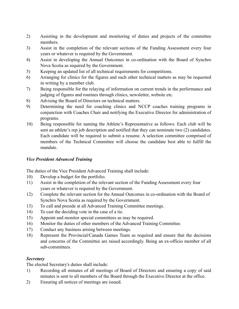- 2) Assisting in the development and monitoring of duties and projects of the committee members.
- 3) Assist in the completion of the relevant sections of the Funding Assessment every four years or whatever is required by the Government.
- 4) Assist in developing the Annual Outcomes in co-ordination with the Board of Synchro Nova Scotia as required by the Government.
- 5) Keeping an updated list of all technical requirements for competitions.
- 6) Arranging for clinics for the figures and such other technical matters as may be requested in writing by a member club.
- 7) Being responsible for the relaying of information on current trends in the performance and judging of figures and routines through clinics, newsletter, website etc.
- 8) Advising the Board of Directors on technical matters.
- 9) Determining the need for coaching clinics and NCCP coaches training programs in conjunction with Coaches Chair and notifying the Executive Director for administration of programs.
- 10) Being responsible for naming the Athlete's Representative as follows: Each club will be sent an athlete's rep job description and notified that they can nominate two (2) candidates. Each candidate will be required to submit a resume. A selection committee comprised of members of the Technical Committee will choose the candidate best able to fulfill the mandate.

## *Vice President Advanced Training*

The duties of the Vice President Advanced Training shall include:

- 10) Develop a budget for the portfolio.
- 11) Assist in the completion of the relevant section of the Funding Assessment every four years or whatever is required by the Government.
- 12) Complete the relevant section for the Annual Outcomes in co-ordination with the Board of Synchro Nova Scotia as required by the Government.
- 13) To call and preside at all Advanced Training Committee meetings.
- 14) To cast the deciding vote in the case of a tie.
- 15) Appoint and monitor special committees as may be required.
- 16) Monitor the duties of other members of the Advanced Training Committee.
- 17) Conduct any business arising between meetings.
- 18) Represent the Provincial/Canada Games Team as required and ensure that the decisions and concerns of the Committee are raised accordingly. Being an ex-officio member of all sub-committees.

#### *Secretary*

The elected Secretary's duties shall include:

- 1) Recording all minutes of all meetings of Board of Directors and ensuring a copy of said minutes is sent to all members of the Board through the Executive Director at the office.
- 2) Ensuring all notices of meetings are issued.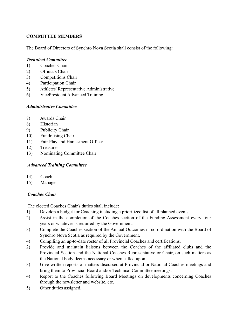## **COMMITTEE MEMBERS**

The Board of Directors of Synchro Nova Scotia shall consist of the following:

## *Technical Committee*

- 1) Coaches Chair
- 2) Officials Chair
- 3) Competitions Chair
- 4) Participation Chair
- 5) Athletes' Representative Administrative
- 6) VicePresident Advanced Training

#### *Administrative Committee*

- 7) Awards Chair
- 8) Historian
- 9) Publicity Chair
- 10) Fundraising Chair
- 11) Fair Play and Harassment Officer
- 12) Treasurer
- 13) Nominating Committee Chair

## *Advanced Training Committee*

- 14) Coach
- 15) Manager

## *Coaches Chair*

The elected Coaches Chair's duties shall include:

- 1) Develop a budget for Coaching including a prioritized list of all planned events.
- 2) Assist in the completion of the Coaches section of the Funding Assessment every four years or whatever is required by the Government.
- 3) Complete the Coaches section of the Annual Outcomes in co-ordination with the Board of Synchro Nova Scotia as required by the Government.
- 4) Compiling an up-to-date roster of all Provincial Coaches and certifications.
- 2) Provide and maintain liaisons between the Coaches of the affiliated clubs and the Provincial Section and the National Coaches Representative or Chair, on such matters as the National body deems necessary or when called upon.
- 3) Give written reports of matters discussed at Provincial or National Coaches meetings and bring them to Provincial Board and/or Technical Committee meetings.
- 4) Report to the Coaches following Board Meetings on developments concerning Coaches through the newsletter and website, etc.
- 5) Other duties assigned.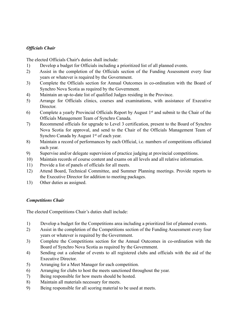## *Officials Chair*

The elected Officials Chair's duties shall include:

- 1) Develop a budget for Officials including a prioritized list of all planned events.
- 2) Assist in the completion of the Officials section of the Funding Assessment every four years or whatever is required by the Government.
- 3) Complete the Officials section for Annual Outcomes in co-ordination with the Board of Synchro Nova Scotia as required by the Government.
- 4) Maintain an up-to-date list of qualified Judges residing in the Province.
- 5) Arrange for Officials clinics, courses and examinations, with assistance of Executive **Director**
- 6) Complete a yearly Provincial Officials Report by August 1st and submit to the Chair of the Officials Management Team of Synchro Canada.
- 7) Recommend officials for upgrade to Level 3 certification, present to the Board of Synchro Nova Scotia for approval, and send to the Chair of the Officials Management Team of Synchro Canada by August 1<sup>st</sup> of each year.
- 8) Maintain a record of performances by each Official, i.e. numbers of competitions officiated each year.
- 9) Supervise and/or delegate supervision of practice judging at provincial competitions.
- 10) Maintain records of course content and exams on all levels and all relative information.
- 11) Provide a list of panels of officials for all meets.
- 12) Attend Board, Technical Committee, and Summer Planning meetings. Provide reports to the Executive Director for addition to meeting packages.
- 13) Other duties as assigned.

## *Competitions Chair*

The elected Competitions Chair's duties shall include:

- 1) Develop a budget for the Competitions area including a prioritized list of planned events.
- 2) Assist in the completion of the Competitions section of the Funding Assessment every four years or whatever is required by the Government.
- 3) Complete the Competitions section for the Annual Outcomes in co-ordination with the Board of Synchro Nova Scotia as required by the Government.
- 4) Sending out a calendar of events to all registered clubs and officials with the aid of the Executive Director.
- 5) Arranging for a Meet Manager for each competition.
- 6) Arranging for clubs to host the meets sanctioned throughout the year.
- 7) Being responsible for how meets should be hosted.
- 8) Maintain all materials necessary for meets.
- 9) Being responsible for all scoring material to be used at meets.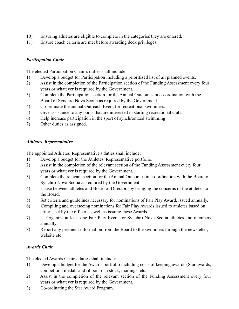- 10) Ensuring athletes are eligible to complete in the categories they are entered.
- 11) Ensure coach criteria are met before awarding deck privileges.

## *Participation Chair*

The elected Participation Chair's duties shall include:

- 1) Develop a budget for Participation including a prioritized list of all planned events.
- 2) Assist in the completion of the Participation section of the Funding Assessment every four years or whatever is required by the Government.
- 3) Complete the Participation section for the Annual Outcomes in co-ordination with the Board of Synchro Nova Scotia as required by the Government.
- 4) Co-ordinate the annual Outreach Event for recreational swimmers.
- 5) Give assistance to any pools that are interested in starting recreational clubs.
- 6) Help increase participation in the sport of synchronized swimming
- 7) Other duties as assigned.

## *Athletes' Representative*

The appointed Athletes' Representative's duties shall include:

- 1) Develop a budget for the Athletes' Representative portfolio.
- 2) Assist in the completion of the relevant section of the Funding Assessment every four years or whatever is required by the Government.
- 3) Complete the relevant section for the Annual Outcomes in co-ordination with the Board of Synchro Nova Scotia as required by the Government.
- 4) Liaise between athletes and Board of Directors by bringing the concerns of the athletes to the Board.
- 5) Set criteria and guidelines necessary for nominations of Fair Play Award, issued annually.
- 6) Compiling and overseeing nominations for Fair Play Awards issued to athletes based on criteria set by the officer, as well as issuing these Awards.
- 7) Organize at least one Fair Play Event for Synchro Nova Scotia athletes and members annually.
- 8) Report any pertinent information from the Board to the swimmers through the newsletter, website etc.

## *Awards Chair*

The elected Awards Chair's duties shall include:

- 1) Develop a budget for the Awards portfolio including costs of keeping awards (Star awards, competition medals and ribbons) in stock, mailings, etc.
- 2) Assist in the completion of the relevant section of the Funding Assessment every four years or whatever is required by the Government.
- 3) Co-ordinating the Star Award Program.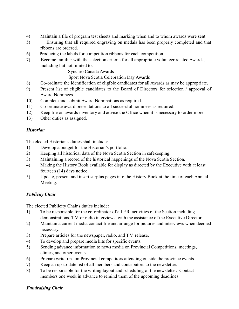- 4) Maintain a file of program test sheets and marking when and to whom awards were sent.
- 5) Ensuring that all required engraving on medals has been properly completed and that ribbons are ordered.
- 6) Producing the labels for competition ribbons for each competition.
- 7) Become familiar with the selection criteria for all appropriate volunteer related Awards, including but not limited to:

Synchro Canada Awards

Sport Nova Scotia Celebration Day Awards

- 8) Co-ordinate the identification of eligible candidates for all Awards as may be appropriate.
- 9) Present list of eligible candidates to the Board of Directors for selection / approval of Award Nominees.
- 10) Complete and submit Award Nominations as required.
- 11) Co-ordinate award presentations to all successful nominees as required.
- 12) Keep file on awards inventory and advise the Office when it is necessary to order more.
- 13) Other duties as assigned.

## *Historian*

The elected Historian's duties shall include:

- 1) Develop a budget for the Historian's portfolio.
- 2) Keeping all historical data of the Nova Scotia Section in safekeeping.
- 3) Maintaining a record of the historical happenings of the Nova Scotia Section.
- 4) Making the History Book available for display as directed by the Executive with at least fourteen (14) days notice.
- 5) Update, present and insert surplus pages into the History Book at the time of each Annual Meeting.

# *Publicity Chair*

The elected Publicity Chair's duties include:

- 1) To be responsible for the co-ordinator of all P.R. activities of the Section including demonstrations, T.V. or radio interviews, with the assistance of the Executive Director.
- 2) Maintain a current media contact file and arrange for pictures and interviews when deemed necessary.
- 3) Prepare articles for the newspaper, radio, and T.V. release.
- 4) To develop and prepare media kits for specific events.
- 5) Sending advance information to news media on Provincial Competitions, meetings, clinics, and other events.
- 6) Prepare write-ups on Provincial competitors attending outside the province events.
- 7) Keep an up-to-date list of all members and contributors to the newsletter.
- 8) To be responsible for the writing layout and scheduling of the newsletter. Contact members one week in advance to remind them of the upcoming deadlines.

## *Fundraising Chair*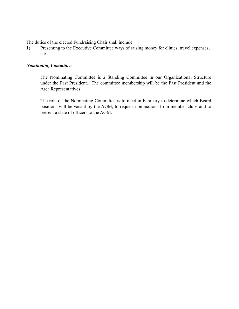The duties of the elected Fundraising Chair shall include:

1) Presenting to the Executive Committee ways of raising money for clinics, travel expenses, etc.

#### *Nominating Committee*

The Nominating Committee is a Standing Committee in our Organizational Structure under the Past President. The committee membership will be the Past President and the Area Representatives.

The role of the Nominating Committee is to meet in February to determine which Board positions will be vacant by the AGM, to request nominations from member clubs and to present a slate of officers to the AGM.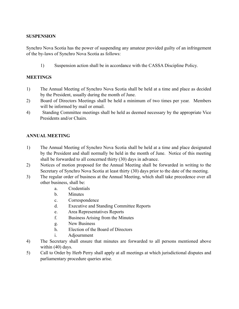## **SUSPENSION**

Synchro Nova Scotia has the power of suspending any amateur provided guilty of an infringement of the by-laws of Synchro Nova Scotia as follows:

1) Suspension action shall be in accordance with the CASSA Discipline Policy.

## **MEETINGS**

- 1) The Annual Meeting of Synchro Nova Scotia shall be held at a time and place as decided by the President, usually during the month of June.
- 2) Board of Directors Meetings shall be held a minimum of two times per year. Members will be informed by mail or email.
- 4) Standing Committee meetings shall be held as deemed necessary by the appropriate Vice Presidents and/or Chairs.

## **ANNUAL MEETING**

- 1) The Annual Meeting of Synchro Nova Scotia shall be held at a time and place designated by the President and shall normally be held in the month of June. Notice of this meeting shall be forwarded to all concerned thirty (30) days in advance.
- 2) Notices of motion proposed for the Annual Meeting shall be forwarded in writing to the Secretary of Synchro Nova Scotia at least thirty (30) days prior to the date of the meeting.
- 3) The regular order of business at the Annual Meeting, which shall take precedence over all other business, shall be:
	- a. Credentials
	- b. Minutes
	- c. Correspondence
	- d. Executive and Standing Committee Reports
	- e. Area Representatives Reports
	- f. Business Arising from the Minutes
	- g. New Business
	- h. Election of the Board of Directors
	- i. Adjournment
- 4) The Secretary shall ensure that minutes are forwarded to all persons mentioned above within (40) days.
- 5) Call to Order by Herb Perry shall apply at all meetings at which jurisdictional disputes and parliamentary procedure queries arise.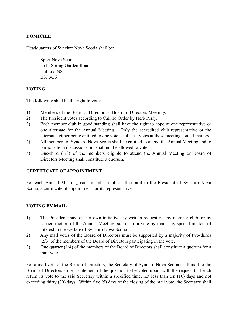## **DOMICILE**

Headquarters of Synchro Nova Scotia shall be:

Sport Nova Scotia 5516 Spring Garden Road Halifax, NS B3J 3G6

## **VOTING**

The following shall be the right to vote:

- 1) Members of the Board of Directors at Board of Directors Meetings.
- 2) The President votes according to Call To Order by Herb Perry.
- 3) Each member club in good standing shall have the right to appoint one representative or one alternate for the Annual Meeting. Only the accredited club representative or the alternate, either being entitled to one vote, shall cast votes at these meetings on all matters.
- 4) All members of Synchro Nova Scotia shall be entitled to attend the Annual Meeting and to participate in discussions but shall not be allowed to vote.
- 5) One-third (1/3) of the members eligible to attend the Annual Meeting or Board of Directors Meeting shall constitute a quorum.

## **CERTIFICATE OF APPOINTMENT**

For each Annual Meeting, each member club shall submit to the President of Synchro Nova Scotia, a certificate of appointment for its representative.

## **VOTING BY MAIL**

- 1) The President may, on her own initiative, by written request of any member club, or by carried motion of the Annual Meeting, submit to a vote by mail, any special matters of interest to the welfare of Synchro Nova Scotia.
- 2) Any mail votes of the Board of Directors must be supported by a majority of two-thirds (2/3) of the members of the Board of Directors participating in the vote.
- 3) One quarter (1/4) of the members of the Board of Directors shall constitute a quorum for a mail vote.

For a mail vote of the Board of Directors, the Secretary of Synchro Nova Scotia shall mail to the Board of Directors a clear statement of the question to be voted upon, with the request that each return its vote to the said Secretary within a specified time, not less than ten (10) days and not exceeding thirty (30) days. Within five (5) days of the closing of the mail vote, the Secretary shall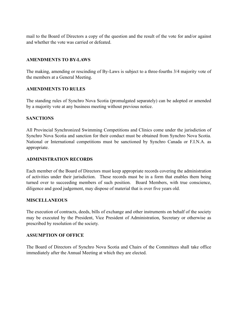mail to the Board of Directors a copy of the question and the result of the vote for and/or against and whether the vote was carried or defeated.

## **AMENDMENTS TO BY-LAWS**

The making, amending or rescinding of By-Laws is subject to a three-fourths 3/4 majority vote of the members at a General Meeting.

## **AMENDMENTS TO RULES**

The standing rules of Synchro Nova Scotia (promulgated separately) can be adopted or amended by a majority vote at any business meeting without previous notice.

#### **SANCTIONS**

All Provincial Synchronized Swimming Competitions and Clinics come under the jurisdiction of Synchro Nova Scotia and sanction for their conduct must be obtained from Synchro Nova Scotia. National or International competitions must be sanctioned by Synchro Canada or F.I.N.A. as appropriate.

#### **ADMINISTRATION RECORDS**

Each member of the Board of Directors must keep appropriate records covering the administration of activities under their jurisdiction. These records must be in a form that enables them being turned over to succeeding members of such position. Board Members, with true conscience, diligence and good judgement, may dispose of material that is over five years old.

#### **MISCELLANEOUS**

The execution of contracts, deeds, bills of exchange and other instruments on behalf of the society may be executed by the President, Vice President of Administration, Secretary or otherwise as prescribed by resolution of the society.

#### **ASSUMPTION OF OFFICE**

The Board of Directors of Synchro Nova Scotia and Chairs of the Committees shall take office immediately after the Annual Meeting at which they are elected.